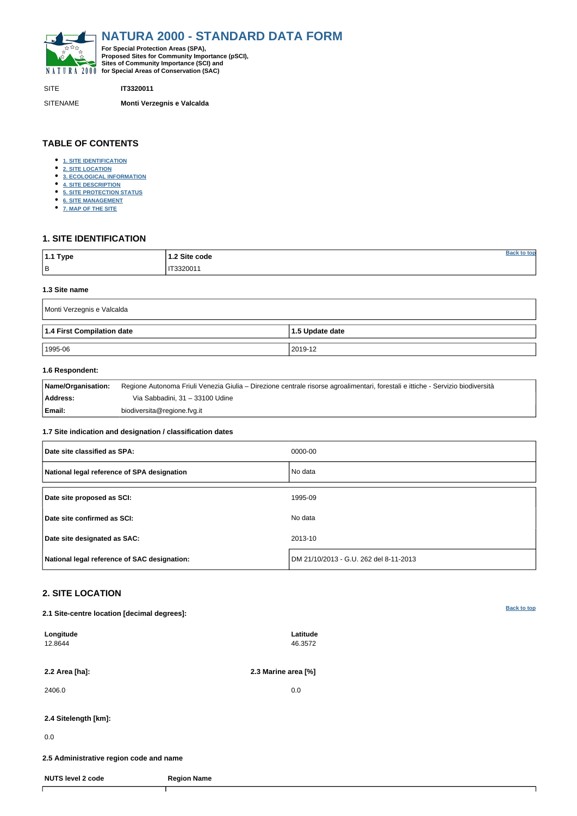<span id="page-0-0"></span>

SITE **IT3320011**

SITENAME **Monti Verzegnis e Valcalda**

| $1.1$ Type | 1.2 Site code |  |
|------------|---------------|--|
| $\vert$ B  | IT3320011     |  |

# **TABLE OF CONTENTS**

- **[1. SITE IDENTIFICATION](#page-0-1)**
- **[2. SITE LOCATION](#page-0-2)**
- **[3. ECOLOGICAL INFORMATION](#page-1-0)**
- **[4. SITE DESCRIPTION](#page-3-0)**
- **[5. SITE PROTECTION STATUS](#page-4-0)**
- **[6. SITE MANAGEMENT](#page-4-1)**
- **[7. MAP OF THE SITE](#page-4-2)**

# <span id="page-0-1"></span>**1. SITE IDENTIFICATION**

#### **1.3 Site name**

| Monti Verzegnis e Valcalda |                 |  |  |  |  |  |
|----------------------------|-----------------|--|--|--|--|--|
| 1.4 First Compilation date | 1.5 Update date |  |  |  |  |  |
| 1995-06                    | 2019-12         |  |  |  |  |  |

## **1.6 Respondent:**

| Name/Organisation: | Regione Autonoma Friuli Venezia Giulia – Direzione centrale risorse agroalimentari, forestali e ittiche - Servizio biodiversità |
|--------------------|---------------------------------------------------------------------------------------------------------------------------------|
| Address:           | Via Sabbadini, 31 – 33100 Udine                                                                                                 |
| Email:             | biodiversita@regione.fvg.it                                                                                                     |

## **1.7 Site indication and designation / classification dates**

| Date site classified as SPA:                 | 0000-00                                |
|----------------------------------------------|----------------------------------------|
| National legal reference of SPA designation  | No data                                |
| Date site proposed as SCI:                   | 1995-09                                |
| Date site confirmed as SCI:                  | No data                                |
| Date site designated as SAC:                 | 2013-10                                |
| National legal reference of SAC designation: | DM 21/10/2013 - G.U. 262 del 8-11-2013 |

# <span id="page-0-2"></span>**2. SITE LOCATION**

**2.1 Site-centre location [decimal degrees]:**

| Longitude<br>12.8644                    |                    | Latitude<br>46.3572 |  |  |  |  |  |  |
|-----------------------------------------|--------------------|---------------------|--|--|--|--|--|--|
| 2.2 Area [ha]:                          |                    | 2.3 Marine area [%] |  |  |  |  |  |  |
| 2406.0                                  |                    | 0.0                 |  |  |  |  |  |  |
| 2.4 Sitelength [km]:                    |                    |                     |  |  |  |  |  |  |
| 0.0                                     |                    |                     |  |  |  |  |  |  |
| 2.5 Administrative region code and name |                    |                     |  |  |  |  |  |  |
| <b>NUTS level 2 code</b>                | <b>Region Name</b> |                     |  |  |  |  |  |  |
|                                         |                    |                     |  |  |  |  |  |  |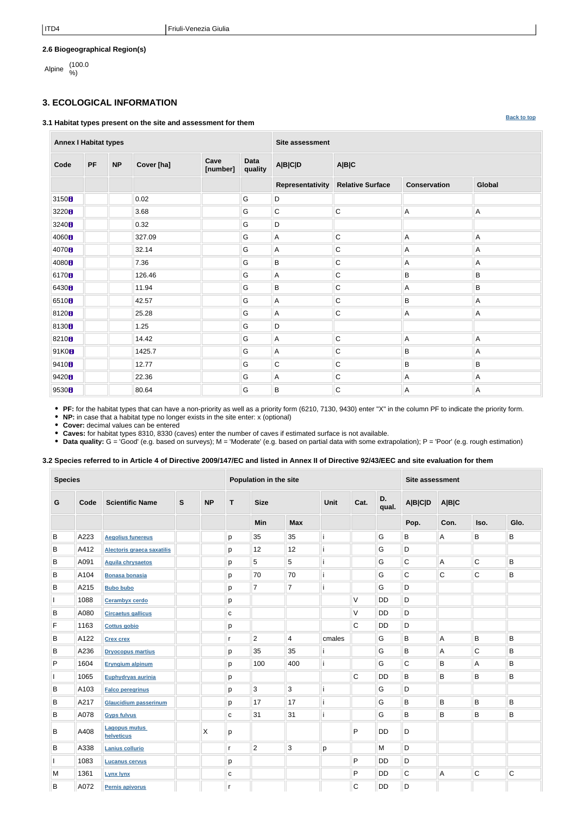**[Back to top](#page-0-0)**

## **2.6 Biogeographical Region(s)**

Alpine (100.0

# <span id="page-1-0"></span>**3. ECOLOGICAL INFORMATION**

#### **3.1 Habitat types present on the site and assessment for them**

**Annex I Habitat types Site assessment Code PF NP Cover [ha] Cave [number] Data quality A|B|C|D A|B|C Representativity Relative Surface Conservation Global** 3150 0.02 G G D 3220 3.68 G C C A A 3240 0.32 G D 4060 B 327.09 G A C A A A A 4070 B 32.14 G A C A A A A 4080 7.36 G B C A A 6170 **8** N 26.46 || G || A || C || B || B || B || B 6430 11.94 G B C A B 6510 42.57 G A C B A 8120 25.28 G A C A A 8130 **1.**  $\parallel$  1.25 **G D** 8210 **1** 14.42 IG A C A A A 91K0 1425.7 G A C B A 9410 12.77 G C C B B 9420 22.36 G A C A A 9530 80.64 G B C A A

**PF:** for the habitat types that can have a non-priority as well as a priority form (6210, 7130, 9430) enter "X" in the column PF to indicate the priority form.

**NP:** in case that a habitat type no longer exists in the site enter: x (optional)

**Cover:** decimal values can be entered

**Caves:** for habitat types 8310, 8330 (caves) enter the number of caves if estimated surface is not available.

• Data quality: G = 'Good' (e.g. based on surveys); M = 'Moderate' (e.g. based on partial data with some extrapolation); P = 'Poor' (e.g. rough estimation)

## **3.2 Species referred to in Article 4 of Directive 2009/147/EC and listed in Annex II of Directive 92/43/EEC and site evaluation for them**

| <b>Species</b> |      |                                    |              |              | Population in the site |                |                |                           |             | Site assessment |                |              |             |             |
|----------------|------|------------------------------------|--------------|--------------|------------------------|----------------|----------------|---------------------------|-------------|-----------------|----------------|--------------|-------------|-------------|
| G              | Code | <b>Scientific Name</b>             | $\mathbf{s}$ | <b>NP</b>    | T                      | <b>Size</b>    |                | D.<br>Cat.<br><b>Unit</b> |             | qual.           | <b>A B C D</b> | <b>A B C</b> |             |             |
|                |      |                                    |              |              |                        | Min            | <b>Max</b>     |                           |             |                 | Pop.           | Con.         | Iso.        | Glo.        |
| B              | A223 | <b>Aegolius funereus</b>           |              |              | p                      | 35             | 35             | j                         |             | G               | B              | А            | B           | B           |
| B              | A412 | Alectoris graeca saxatilis         |              |              | p                      | 12             | 12             | j                         |             | G               | D              |              |             |             |
| B              | A091 | <b>Aquila chrysaetos</b>           |              |              | p                      | 5              | 5              | j                         |             | G               | C              | A            | С           | B           |
| B              | A104 | <b>Bonasa bonasia</b>              |              |              | p                      | 70             | 70             | j                         |             | G               | C              | $\mathsf{C}$ | C           | $\mathsf B$ |
| B              | A215 | <b>Bubo bubo</b>                   |              |              | p                      | $\overline{7}$ | $\overline{7}$ | j                         |             | G               | D              |              |             |             |
|                | 1088 | <b>Cerambyx cerdo</b>              |              |              | p                      |                |                |                           | V           | <b>DD</b>       | D              |              |             |             |
| B              | A080 | <b>Circaetus gallicus</b>          |              |              | $\mathbf{C}$           |                |                |                           | V           | <b>DD</b>       | D              |              |             |             |
| F              | 1163 | <b>Cottus gobio</b>                |              |              | p                      |                |                |                           | $\mathsf C$ | DD              | D              |              |             |             |
| B              | A122 | <b>Crex crex</b>                   |              |              | r                      | $\overline{2}$ | $\overline{4}$ | cmales                    |             | G               | B              | A            | B           | $\mathsf B$ |
| $\sf B$        | A236 | <b>Dryocopus martius</b>           |              |              | p                      | 35             | 35             | j.                        |             | G               | B              | A            | $\mathsf C$ | $\mathsf B$ |
| $\mathsf{P}$   | 1604 | <b>Eryngium alpinum</b>            |              |              | p                      | 100            | 400            | İ                         |             | G               | $\mathsf C$    | B            | Α           | B           |
|                | 1065 | <b>Euphydryas aurinia</b>          |              |              | p                      |                |                |                           | $\mathsf C$ | <b>DD</b>       | B              | B            | B           | B           |
| B              | A103 | <b>Falco peregrinus</b>            |              |              | p                      | 3              | 3              | ji                        |             | G               | D              |              |             |             |
| B              | A217 | <b>Glaucidium passerinum</b>       |              |              | p                      | 17             | 17             | j                         |             | G               | B              | B            | B           | $\mathsf B$ |
| B              | A078 | <b>Gyps fulvus</b>                 |              |              | C                      | 31             | 31             | j                         |             | G               | B              | B            | $\sf B$     | $\mathsf B$ |
| B              | A408 | <b>Lagopus mutus</b><br>helveticus |              | $\mathsf{X}$ | р                      |                |                |                           | P           | <b>DD</b>       | D              |              |             |             |
| B              | A338 | Lanius collurio                    |              |              | r.                     | $\overline{c}$ | 3              | p                         |             | M               | D              |              |             |             |
|                | 1083 | <b>Lucanus cervus</b>              |              |              | p                      |                |                |                           | P           | <b>DD</b>       | D              |              |             |             |
| M              | 1361 | <b>Lynx lynx</b>                   |              |              | С                      |                |                |                           | P           | <b>DD</b>       | C              | А            | C           | $\mathbf C$ |
| B              | A072 | Pernis apivorus                    |              |              | r                      |                |                |                           | $\mathsf C$ | <b>DD</b>       | D              |              |             |             |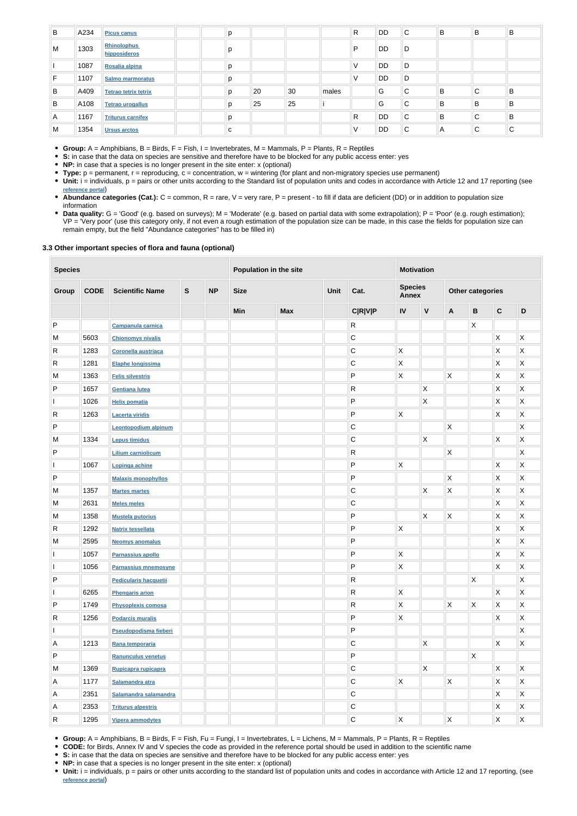| B  | A234 | <b>Picus canus</b>                 | р |    |    |       | R | DD        | C | B | B           | B |
|----|------|------------------------------------|---|----|----|-------|---|-----------|---|---|-------------|---|
| M  | 1303 | <b>Rhinolophus</b><br>hipposideros | p |    |    |       | P | DD.       | D |   |             |   |
|    | 1087 | Rosalia alpina                     | р |    |    |       | ν | <b>DD</b> | D |   |             |   |
| F. | 1107 | Salmo marmoratus                   | p |    |    |       | V | <b>DD</b> | D |   |             |   |
| B  | A409 | <b>Tetrao tetrix tetrix</b>        | p | 20 | 30 | males |   | G         | С | B | C           | B |
| B  | A108 | <b>Tetrao urogallus</b>            | p | 25 | 25 |       |   | G         | С | В | В           | B |
| A  | 1167 | <b>Triturus carnifex</b>           | p |    |    |       | R | <b>DD</b> | C | B | $\sim$<br>◡ | B |
| M  | 1354 | <b>Ursus arctos</b>                | с |    |    |       | ٧ | DD        | С | A | C           | C |

**Group:** A = Amphibians, B = Birds, F = Fish, I = Invertebrates, M = Mammals, P = Plants, R = Reptiles

- **S:** in case that the data on species are sensitive and therefore have to be blocked for any public access enter: yes
- **NP:** in case that a species is no longer present in the site enter: x (optional)
- **Type:** p = permanent, r = reproducing, c = concentration, w = wintering (for plant and non-migratory species use permanent)
- Unit: i = individuals, p = pairs or other units according to the Standard list of population units and codes in accordance with Article 12 and 17 reporting (see **[reference portal](http://bd.eionet.europa.eu/activities/Natura_2000/reference_portal)**)
- Abundance categories (Cat.): C = common, R = rare, V = very rare, P = present to fill if data are deficient (DD) or in addition to population size information
- Data quality: G = 'Good' (e.g. based on surveys); M = 'Moderate' (e.g. based on partial data with some extrapolation); P = 'Poor' (e.g. rough estimation); VP = 'Very poor' (use this category only, if not even a rough estimation of the population size can be made, in this case the fields for population size can remain empty, but the field "Abundance categories" has to be filled in)

## **3.3 Other important species of flora and fauna (optional)**

| <b>Species</b>          |             |                              | Population in the site |           |             |             | <b>Motivation</b> |                                        |                           |                    |                |                         |                           |              |
|-------------------------|-------------|------------------------------|------------------------|-----------|-------------|-------------|-------------------|----------------------------------------|---------------------------|--------------------|----------------|-------------------------|---------------------------|--------------|
| Group                   | <b>CODE</b> | <b>Scientific Name</b>       | ${\mathbf S}$          | <b>NP</b> | <b>Size</b> | <b>Unit</b> |                   | <b>Species</b><br>Cat.<br><b>Annex</b> |                           |                    |                | <b>Other categories</b> |                           |              |
|                         |             |                              |                        |           | Min         | <b>Max</b>  |                   | <b>C R V P</b>                         | ${\sf IV}$                | $\pmb{\mathsf{V}}$ | $\mathbf{A}$   | $\, {\bf B}$            | $\mathbf{C}$              | $\mathsf D$  |
| $\sf P$                 |             | <b>Campanula carnica</b>     |                        |           |             |             |                   | R                                      |                           |                    |                | $\mathsf{X}$            |                           |              |
| M                       | 5603        | <b>Chionomys nivalis</b>     |                        |           |             |             |                   | С                                      |                           |                    |                |                         | $\boldsymbol{\mathsf{X}}$ | X            |
| $\mathsf R$             | 1283        | <b>Coronella austriaca</b>   |                        |           |             |             |                   | $\mathbf C$                            | $\mathsf{X}$              |                    |                |                         | X                         | Χ            |
| $\mathsf{R}$            | 1281        | Elaphe longissima            |                        |           |             |             |                   | $\mathsf C$                            | $\mathsf{X}$              |                    |                |                         | X                         | Χ            |
| M                       | 1363        | <b>Felis silvestris</b>      |                        |           |             |             |                   | $\mathsf{P}$                           | $\mathsf{X}$              |                    | Χ              |                         | X                         | Χ            |
| ${\sf P}$               | 1657        | <b>Gentiana lutea</b>        |                        |           |             |             |                   | R                                      |                           | X                  |                |                         | Χ                         | X            |
|                         | 1026        | <b>Helix pomatia</b>         |                        |           |             |             |                   | P                                      |                           | X                  |                |                         | X                         | X            |
| ${\sf R}$               | 1263        | <b>Lacerta viridis</b>       |                        |           |             |             |                   | P                                      | $\mathsf{X}$              |                    |                |                         | Χ                         | X            |
| ${\sf P}$               |             | <b>Leontopodium alpinum</b>  |                        |           |             |             |                   | C                                      |                           |                    | X              |                         |                           | X            |
| M                       | 1334        | <b>Lepus timidus</b>         |                        |           |             |             |                   | $\mathsf C$                            |                           | $\mathsf X$        |                |                         | X                         | X            |
| ${\sf P}$               |             | <b>Lilium carniolicum</b>    |                        |           |             |             |                   | ${\sf R}$                              |                           |                    | X              |                         |                           | X            |
| $\mathbf{I}$            | 1067        | Lopinga achine               |                        |           |             |             |                   | ${\sf P}$                              | $\mathsf{X}$              |                    |                |                         | X                         | X            |
| ${\sf P}$               |             | <b>Malaxis monophyllos</b>   |                        |           |             |             |                   | ${\sf P}$                              |                           |                    | Χ              |                         | Χ                         | Χ            |
| M                       | 1357        | <b>Martes martes</b>         |                        |           |             |             |                   | $\mathsf C$                            |                           | X                  | X              |                         | X                         | X            |
| M                       | 2631        | <b>Meles meles</b>           |                        |           |             |             |                   | $\mathsf C$                            |                           |                    |                |                         | X                         | Χ            |
| M                       | 1358        | <b>Mustela putorius</b>      |                        |           |             |             |                   | P                                      |                           | X                  | X              |                         | X                         | X            |
| $\mathsf{R}$            | 1292        | <b>Natrix tessellata</b>     |                        |           |             |             |                   | P                                      | X                         |                    |                |                         | Χ                         | Χ            |
| M                       | 2595        | <b>Neomys anomalus</b>       |                        |           |             |             |                   | P                                      |                           |                    |                |                         | Χ                         | Χ            |
|                         | 1057        | Parnassius apollo            |                        |           |             |             |                   | P                                      | $\boldsymbol{\mathsf{X}}$ |                    |                |                         | Χ                         | X            |
| $\mathbf{I}$            | 1056        | Parnassius mnemosyne         |                        |           |             |             |                   | ${\sf P}$                              | $\mathsf X$               |                    |                |                         | $\mathsf{X}$              | X            |
| $\sf P$                 |             | <b>Pedicularis hacquetii</b> |                        |           |             |             |                   | $\vert R \vert$                        |                           |                    |                | $\mathsf{X}$            |                           | $\mathsf X$  |
| I.                      | 6265        | <b>Phengaris arion</b>       |                        |           |             |             |                   | $\mathsf{R}$                           | $\mathsf{X}$              |                    |                |                         | $\mathsf X$               | $\mathsf X$  |
| $\mathsf{P}$            | 1749        | <b>Physoplexis comosa</b>    |                        |           |             |             |                   | $\mathsf{R}$                           | $\mathsf{X}$              |                    | $\pmb{\times}$ | $\mathsf{X}$            | $\mathsf{X}$              | $\mathsf{X}$ |
| $\overline{\mathsf{R}}$ | 1256        | <b>Podarcis muralis</b>      |                        |           |             |             |                   | P                                      | X                         |                    |                |                         | $\mathsf X$               | $\mathsf{X}$ |
|                         |             | Pseudopodisma fieberi        |                        |           |             |             |                   | $\vert P \vert$                        |                           |                    |                |                         |                           | $\mathsf{X}$ |
| $\mathsf{A}$            | 1213        | Rana temporaria              |                        |           |             |             |                   | $\overline{C}$                         |                           | $\mathsf X$        |                |                         | $\mathsf X$               | $\mathsf{X}$ |
| $\mathsf{P}$            |             | <b>Ranunculus venetus</b>    |                        |           |             |             |                   | ${\sf P}$                              |                           |                    |                | $\mathsf{\overline{X}}$ |                           |              |
| M                       | 1369        | Rupicapra rupicapra          |                        |           |             |             |                   | C                                      |                           | $\mathsf X$        |                |                         | $\boldsymbol{\mathsf{X}}$ | $\mathsf{X}$ |
| Α                       | 1177        | Salamandra atra              |                        |           |             |             |                   | C                                      | $\mathsf{X}$              |                    | $\mathsf X$    |                         | $\boldsymbol{\mathsf{X}}$ | $\mathsf{X}$ |
| Α                       | 2351        | Salamandra salamandra        |                        |           |             |             |                   | $\mathsf{C}$                           |                           |                    |                |                         | $\mathsf X$               | $\mathsf X$  |
| $\mathsf{A}$            | 2353        | <b>Triturus alpestris</b>    |                        |           |             |             |                   | $\overline{C}$                         |                           |                    |                |                         | $\mathsf X$               | $\mathsf X$  |
| $\vert R \vert$         | 1295        | <b>Vipera ammodytes</b>      |                        |           |             |             |                   | $\mathsf{C}$                           | $\mathsf{X}$              |                    | $\mathsf X$    |                         | X                         | $\mathsf X$  |

- **Group:** A = Amphibians, B = Birds, F = Fish, Fu = Fungi, I = Invertebrates, L = Lichens, M = Mammals, P = Plants, R = Reptiles
- **CODE:** for Birds, Annex IV and V species the code as provided in the reference portal should be used in addition to the scientific name
- **S:** in case that the data on species are sensitive and therefore have to be blocked for any public access enter: yes
- **NP:** in case that a species is no longer present in the site enter: x (optional)
- Unit: i = individuals, p = pairs or other units according to the standard list of population units and codes in accordance with Article 12 and 17 reporting, (see **[reference portal](http://bd.eionet.europa.eu/activities/Natura_2000/reference_portal)**)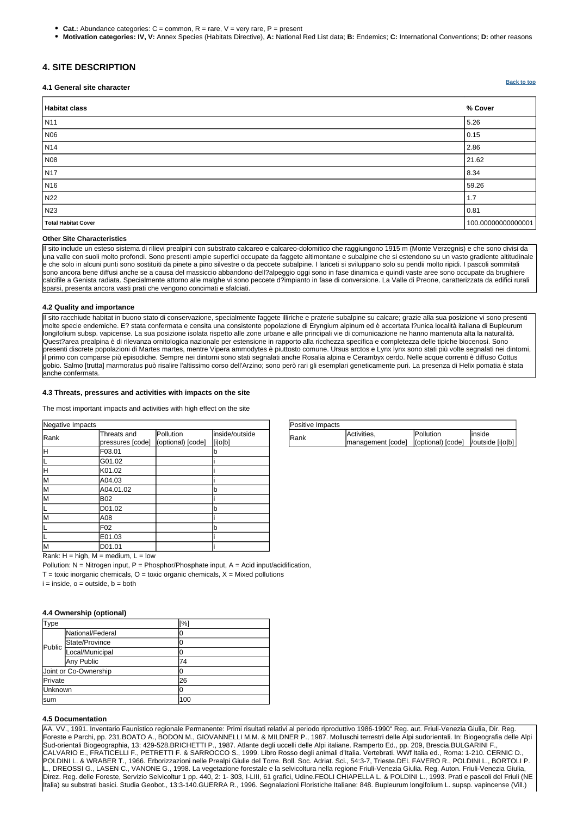| Type    |                       | $\frac{10}{2}$ |
|---------|-----------------------|----------------|
|         | National/Federal      |                |
| Public  | State/Province        |                |
|         | Local/Municipal       | U              |
|         | Any Public            | 74             |
|         | Joint or Co-Ownership | O              |
| Private |                       | 26             |
| Unknown |                       |                |
| Isum    |                       | 100            |

| Positive Impacts |                                                          |           |         |
|------------------|----------------------------------------------------------|-----------|---------|
| lRank            | Activities,                                              | Pollution | linside |
|                  | management [code]   (optional) [code]   voutside [i o b] |           |         |

Rank:  $H = high$ ,  $M = medium$ ,  $L = low$ 

Pollution:  $N =$  Nitrogen input, P = Phosphor/Phosphate input, A = Acid input/acidification,

 $T =$  toxic inorganic chemicals,  $O =$  toxic organic chemicals,  $X =$  Mixed pollutions

 $i = inside, o = outside, b = both$ 

| Negative Impacts |                                 |                                |                           |  |  |  |  |  |  |  |
|------------------|---------------------------------|--------------------------------|---------------------------|--|--|--|--|--|--|--|
| Rank             | Threats and<br>pressures [code] | Pollution<br>(optional) [code] | inside/outside<br>[i o b] |  |  |  |  |  |  |  |
| ΙH               | F03.01                          |                                | b                         |  |  |  |  |  |  |  |
|                  | G01.02                          |                                |                           |  |  |  |  |  |  |  |
| Η                | K01.02                          |                                |                           |  |  |  |  |  |  |  |
| lм               | A04.03                          |                                |                           |  |  |  |  |  |  |  |
| lм               | A04.01.02                       |                                | lb                        |  |  |  |  |  |  |  |
| lм               | B02                             |                                |                           |  |  |  |  |  |  |  |
|                  | D01.02                          |                                | lb                        |  |  |  |  |  |  |  |
| M                | A08                             |                                |                           |  |  |  |  |  |  |  |
|                  | F02                             |                                | lb                        |  |  |  |  |  |  |  |
|                  | E01.03                          |                                |                           |  |  |  |  |  |  |  |
| M                | D01.01                          |                                |                           |  |  |  |  |  |  |  |

**[Back to top](#page-0-0)**

**Motivation categories: IV, V:** Annex Species (Habitats Directive), **A:** National Red List data; **B:** Endemics; **C:** International Conventions; **D:** other reasons

# <span id="page-3-0"></span>**4. SITE DESCRIPTION**

#### **4.1 General site character**

| <b>Habitat class</b>       | % Cover            |
|----------------------------|--------------------|
| N11                        | 5.26               |
| <b>N06</b>                 | 0.15               |
| N14                        | 2.86               |
| <b>N08</b>                 | 21.62              |
| N <sub>17</sub>            | 8.34               |
| N <sub>16</sub>            | 59.26              |
| N <sub>22</sub>            | 1.7                |
| N <sub>23</sub>            | 0.81               |
| <b>Total Habitat Cover</b> | 100.00000000000001 |
|                            |                    |

#### **Other Site Characteristics**

Il sito include un esteso sistema di rilievi prealpini con substrato calcareo e calcareo-dolomitico che raggiungono 1915 m (Monte Verzegnis) e che sono divisi da una valle con suoli molto profondi. Sono presenti ampie superfici occupate da faggete altimontane e subalpine che si estendono su un vasto gradiente altitudinale e che solo in alcuni punti sono sostituiti da pinete a pino silvestre o da peccete subalpine. I lariceti si sviluppano solo su pendii molto ripidi. I pascoli sommitali sono ancora bene diffusi anche se a causa del massiccio abbandono dell?alpeggio oggi sono in fase dinamica e quindi vaste aree sono occupate da brughiere calcifile a Genista radiata. Specialmente attorno alle malghe vi sono peccete d?impianto in fase di conversione. La Valle di Preone, caratterizzata da edifici rurali sparsi, presenta ancora vasti prati che vengono concimati e sfalciati.

### **4.2 Quality and importance**

Il sito racchiude habitat in buono stato di conservazione, specialmente faggete illiriche e praterie subalpine su calcare; grazie alla sua posizione vi sono presenti molte specie endemiche. E? stata confermata e censita una consistente popolazione di Eryngium alpinum ed è accertata l?unica località italiana di Bupleurum longifolium subsp. vapicense. La sua posizione isolata rispetto alle zone urbane e alle principali vie di comunicazione ne hanno mantenuta alta la naturalità. Quest?area prealpina è di rilevanza ornitologica nazionale per estensione in rapporto alla ricchezza specifica e completezza delle tipiche biocenosi. Sono presenti discrete popolazioni di Martes martes, mentre Vipera ammodytes è piuttosto comune. Ursus arctos e Lynx lynx sono stati più volte segnalati nei dintorni, I primo con comparse più episodiche. Sempre nei dintorni sono stati segnalati anche Rosalia alpina e Cerambyx cerdo. Nelle acque correnti è diffuso Cottus gobio. Salmo [trutta] marmoratus può risalire l'altissimo corso dell'Arzino; sono però rari gli esemplari geneticamente puri. La presenza di Helix pomatia è stata anche confermata.

#### **4.3 Threats, pressures and activities with impacts on the site**

The most important impacts and activities with high effect on the site

## **4.4 Ownership (optional)**

#### **4.5 Documentation**

AA. VV., 1991. Inventario Faunistico regionale Permanente: Primi risultati relativi al periodo riproduttivo 1986-1990" Reg. aut. Friuli-Venezia Giulia, Dir. Reg. Foreste e Parchi, pp. 231.BOATO A., BODON M., GIOVANNELLI M.M. & MILDNER P., 1987. Molluschi terrestri delle Alpi sudorientali. In: Biogeografia delle Alpi Sud-orientali Biogeographia, 13: 429-528.BRICHETTI P., 1987. Atlante degli uccelli delle Alpi italiane. Ramperto Ed., pp. 209, Brescia.BULGARINI F., CALVARIO E., FRATICELLI F., PETRETTI F. & SARROCCO S., 1999. Libro Rosso degli animali d'Italia. Vertebrati. WWf Italia ed., Roma: 1-210. CERNIC D., POLDINI L. & WRABER T., 1966. Erborizzazioni nelle Prealpi Giulie del Torre. Boll. Soc. Adriat. Sci., 54:3-7, Trieste.DEL FAVERO R., POLDINI L., BORTOLI P. L., DREOSSI G., LASEN C., VANONE G., 1998. La vegetazione forestale e la selvicoltura nella regione Friuli-Venezia Giulia. Reg. Auton. Friuli-Venezia Giulia, Direz. Reg. delle Foreste, Servizio Selvicoltur 1 pp. 440, 2: 1- 303, I-LIII, 61 grafici, Udine.FEOLI CHIAPELLA L. & POLDINI L., 1993. Prati e pascoli del Friuli (NE Italia) su substrati basici. Studia Geobot., 13:3-140.GUERRA R., 1996. Segnalazioni Floristiche Italiane: 848. Bupleurum longifolium L. supsp. vapincense (Vill.)